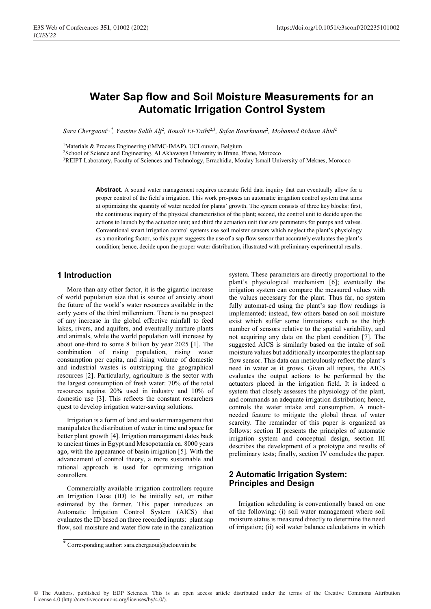# Water Sap flow and Soil Moisture Measurements for an Automatic Irrigation Control System

Sara Chergaoui<sup>1,\*</sup>, Yassine Salih Alj<sup>2</sup>, Bouali Et-Taibi<sup>2,3</sup>, Safae Bourhnane<sup>2</sup>, Mohamed Riduan Abid<sup>2</sup>

<sup>1</sup>Materials & Process Engineering (iMMC-IMAP), UCLouvain, Belgium

2School of Science and Engineering, Al Akhawayn University in Ifrane, Ifrane, Morocco

3REIPT Laboratory, Faculty of Sciences and Technology, Errachidia, Moulay Ismail University of Meknes, Morocco

Abstract. A sound water management requires accurate field data inquiry that can eventually allow for a proper control of the field's irrigation. This work pro-poses an automatic irrigation control system that aims at optimizing the quantity of water needed for plants' growth. The system consists of three key blocks: first, the continuous inquiry of the physical characteristics of the plant; second, the control unit to decide upon the actions to launch by the actuation unit; and third the actuation unit that sets parameters for pumps and valves. Conventional smart irrigation control systems use soil moister sensors which neglect the plant's physiology as a monitoring factor, so this paper suggests the use of a sap flow sensor that accurately evaluates the plant's condition; hence, decide upon the proper water distribution, illustrated with preliminary experimental results.

### 1 Introduction

More than any other factor, it is the gigantic increase of world population size that is source of anxiety about the future of the world's water resources available in the early years of the third millennium. There is no prospect of any increase in the global effective rainfall to feed lakes, rivers, and aquifers, and eventually nurture plants and animals, while the world population will increase by about one-third to some 8 billion by year 2025 [1]. The combination of rising population, rising water consumption per capita, and rising volume of domestic and industrial wastes is outstripping the geographical resources [2]. Particularly, agriculture is the sector with the largest consumption of fresh water: 70% of the total resources against 20% used in industry and 10% of domestic use [3]. This reflects the constant researchers quest to develop irrigation water-saving solutions.

Irrigation is a form of land and water management that manipulates the distribution of water in time and space for better plant growth [4]. Irrigation management dates back to ancient times in Egypt and Mesopotamia ca. 8000 years ago, with the appearance of basin irrigation [5]. With the advancement of control theory, a more sustainable and rational approach is used for optimizing irrigation controllers.

Commercially available irrigation controllers require an Irrigation Dose (ID) to be initially set, or rather estimated by the farmer. This paper introduces an Automatic Irrigation Control System (AICS) that evaluates the ID based on three recorded inputs: plant sap flow, soil moisture and water flow rate in the canalization

system. These parameters are directly proportional to the plant's physiological mechanism [6]; eventually the irrigation system can compare the measured values with the values necessary for the plant. Thus far, no system fully automat-ed using the plant's sap flow readings is implemented; instead, few others based on soil moisture exist which suffer some limitations such as the high number of sensors relative to the spatial variability, and not acquiring any data on the plant condition [7]. The suggested AICS is similarly based on the intake of soil moisture values but additionally incorporates the plant sap flow sensor. This data can meticulously reflect the plant's need in water as it grows. Given all inputs, the AICS evaluates the output actions to be performed by the actuators placed in the irrigation field. It is indeed a system that closely assesses the physiology of the plant, and commands an adequate irrigation distribution; hence, controls the water intake and consumption. A muchneeded feature to mitigate the global threat of water scarcity. The remainder of this paper is organized as follows: section II presents the principles of automatic irrigation system and conceptual design, section III describes the development of a prototype and results of preliminary tests; finally, section IV concludes the paper.

# 2 Automatic Irrigation System: Principles and Design

Irrigation scheduling is conventionally based on one of the following: (i) soil water management where soil moisture status is measured directly to determine the need of irrigation; (ii) soil water balance calculations in which

© The Authors, published by EDP Sciences. This is an open access article distributed under the terms of the Creative Commons Attribution License 4.0 (http://creativecommons.org/licenses/by/4.0/).

<sup>\*</sup> Corresponding author: sara.chergaoui@uclouvain.be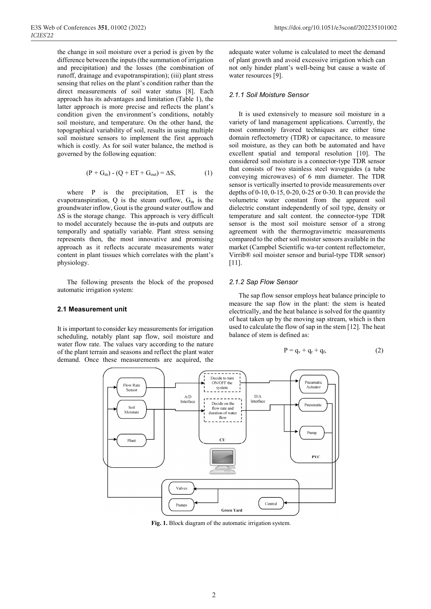the change in soil moisture over a period is given by the difference between the inputs (the summation of irrigation and precipitation) and the losses (the combination of runoff, drainage and evapotranspiration); (iii) plant stress sensing that relies on the plant's condition rather than the direct measurements of soil water status [8]. Each approach has its advantages and limitation (Table 1), the latter approach is more precise and reflects the plant's condition given the environment's conditions, notably soil moisture, and temperature. On the other hand, the topographical variability of soil, results in using multiple soil moisture sensors to implement the first approach which is costly. As for soil water balance, the method is governed by the following equation:

$$
(P + Gin) - (Q + ET + Gout) = \Delta S,
$$
 (1)

where P is the precipitation, ET is the evapotranspiration,  $Q$  is the steam outflow,  $G_{in}$  is the groundwater inflow, Gout is the ground water outflow and ∆S is the storage change. This approach is very difficult to model accurately because the in-puts and outputs are temporally and spatially variable. Plant stress sensing represents then, the most innovative and promising approach as it reflects accurate measurements water content in plant tissues which correlates with the plant's physiology.

The following presents the block of the proposed automatic irrigation system:

#### 2.1 Measurement unit

It is important to consider key measurements for irrigation scheduling, notably plant sap flow, soil moisture and water flow rate. The values vary according to the nature of the plant terrain and seasons and reflect the plant water demand. Once these measurements are acquired, the adequate water volume is calculated to meet the demand of plant growth and avoid excessive irrigation which can not only hinder plant's well-being but cause a waste of water resources [9].

### 2.1.1 Soil Moisture Sensor

It is used extensively to measure soil moisture in a variety of land management applications. Currently, the most commonly favored techniques are either time domain reflectometry (TDR) or capacitance, to measure soil moisture, as they can both be automated and have excellent spatial and temporal resolution [10]. The considered soil moisture is a connector-type TDR sensor that consists of two stainless steel waveguides (a tube conveying microwaves) of 6 mm diameter. The TDR sensor is vertically inserted to provide measurements over depths of 0-10, 0-15, 0-20, 0-25 or 0-30. It can provide the volumetric water constant from the apparent soil dielectric constant independently of soil type, density or temperature and salt content. the connector-type TDR sensor is the most soil moisture sensor of a strong agreement with the thermogravimetric measurements compared to the other soil moister sensors available in the market (Campbel Scientific wa-ter content reflectometer, Virrib® soil moister sensor and burial-type TDR sensor) [11].

#### 2.1.2 Sap Flow Sensor

The sap flow sensor employs heat balance principle to measure the sap flow in the plant: the stem is heated electrically, and the heat balance is solved for the quantity of heat taken up by the moving sap stream, which is then used to calculate the flow of sap in the stem [12]. The heat balance of stem is defined as:

$$
P = q_v + q_r + q_f, \qquad (2)
$$



Fig. 1. Block diagram of the automatic irrigation system.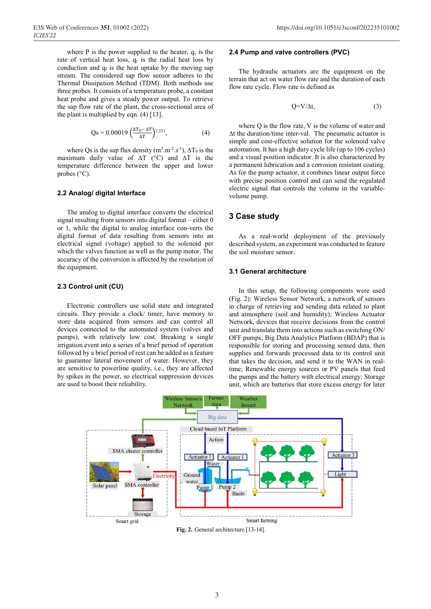where P is the power supplied to the heater,  $q_v$  is the rate of vertical heat loss,  $q_r$  is the radial heat loss by conduction and  $q_f$  is the heat uptake by the moving sap stream. The considered sap flow sensor adheres to the Thermal Dissipation Method (TDM). Both methods use three probes. It consists of a temperature probe, a constant heat probe and gives a steady power output. To retrieve the sap flow rate of the plant, the cross-sectional area of the plant is multiplied by eqn. (4) [13].

$$
Qs = 0.00019 \left( \frac{\Delta T_0 - \Delta T}{\Delta T} \right)^{1.231}, \tag{4}
$$

where Qs is the sap flux density  $(m^3.m^2.s^{-1})$ ,  $\Delta T_0$  is the maximum daily value of ∆T (°C) and ∆T is the temperature difference between the upper and lower probes (°C).

### 2.2 Analog/ digital Interface

The analog to digital interface converts the electrical signal resulting from sensors into digital format – either 0 or 1, while the digital to analog interface con-verts the digital format of data resulting from sensors into an electrical signal (voltage) applied to the solenoid per which the valves function as well as the pump motor. The accuracy of the conversion is affected by the resolution of the equipment.

### 2.3 Control unit (CU)

Electronic controllers use solid state and integrated circuits. They provide a clock/ timer, have memory to store data acquired from sensors and can control all devices connected to the automated system (valves and pumps), with relatively low cost. Breaking a single irrigation event into a series of a brief period of operation followed by a brief period of rest can be added as a feature to guarantee lateral movement of water. However, they are sensitive to powerline quality, i.e., they are affected by spikes in the power, so electrical suppression devices are used to boost their reliability.

### 2.4 Pump and valve controllers (PVC)

The hydraulic actuators are the equipment on the terrain that act on water flow rate and the duration of each flow rate cycle. Flow rate is defined as

$$
Q=V/\Delta t, \qquad (3)
$$

where Q is the flow rate, V is the volume of water and ∆t the duration/time inter-val. The pneumatic actuator is simple and cost-effective solution for the solenoid valve automation. It has a high duty cycle life (up to 106 cycles) and a visual position indicator. It is also characterized by a permanent lubrication and a corrosion resistant coating. As for the pump actuator, it combines linear output force with precise position control and can send the regulated electric signal that controls the volume in the variablevolume pump.

### 3 Case study

As a real-world deployment of the previously described system, an experiment was conducted to feature the soil moisture sensor.

### 3.1 General architecture

In this setup, the following components were used (Fig. 2): Wireless Sensor Network, a network of sensors in charge of retrieving and sending data related to plant and atmosphere (soil and humidity); Wireless Actuator Network, devices that receive decisions from the control unit and translate them into actions such as switching ON/ OFF pumps; Big Data Analytics Platform (BDAP) that is responsible for storing and processing sensed data, then supplies and forwards processed data to its control unit that takes the decision, and send it to the WAN in realtime; Renewable energy sources or PV panels that feed the pumps and the battery with electrical energy; Storage unit, which are batteries that store excess energy for later



Fig. 2. General architecture [13-14].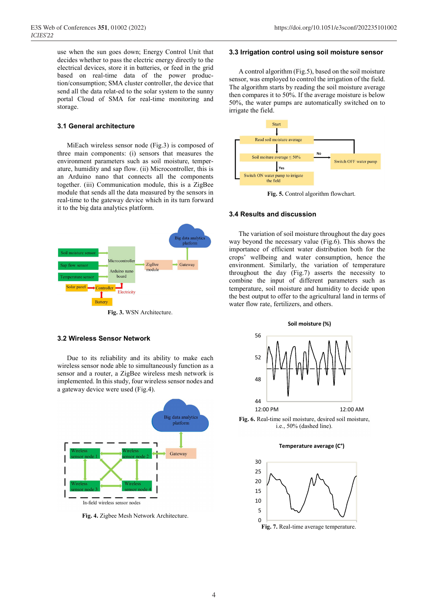use when the sun goes down; Energy Control Unit that decides whether to pass the electric energy directly to the electrical devices, store it in batteries, or feed in the grid based on real-time data of the power production/consumption; SMA cluster controller, the device that send all the data relat-ed to the solar system to the sunny portal Cloud of SMA for real-time monitoring and storage.

### 3.1 General architecture

MiEach wireless sensor node (Fig.3) is composed of three main components: (i) sensors that measures the environment parameters such as soil moisture, temperature, humidity and sap flow. (ii) Microcontroller, this is an Arduino nano that connects all the components together. (iii) Communication module, this is a ZigBee module that sends all the data measured by the sensors in real-time to the gateway device which in its turn forward it to the big data analytics platform.



#### 3.2 Wireless Sensor Network

Due to its reliability and its ability to make each wireless sensor node able to simultaneously function as a sensor and a router, a ZigBee wireless mesh network is implemented. In this study, four wireless sensor nodes and a gateway device were used (Fig.4).



Fig. 4. Zigbee Mesh Network Architecture. 0

#### 3.3 Irrigation control using soil moisture sensor

A control algorithm (Fig.5), based on the soil moisture sensor, was employed to control the irrigation of the field. The algorithm starts by reading the soil moisture average then compares it to 50%. If the average moisture is below 50%, the water pumps are automatically switched on to irrigate the field.



Fig. 5. Control algorithm flowchart.

### 3.4 Results and discussion

The variation of soil moisture throughout the day goes way beyond the necessary value (Fig.6). This shows the importance of efficient water distribution both for the crops' wellbeing and water consumption, hence the environment. Similarly, the variation of temperature throughout the day (Fig.7) asserts the necessity to combine the input of different parameters such as temperature, soil moisture and humidity to decide upon the best output to offer to the agricultural land in terms of water flow rate, fertilizers, and others.



Fig. 6. Real-time soil moisture, desired soil moisture, i.e., 50% (dashed line).

Temperature average (C°)

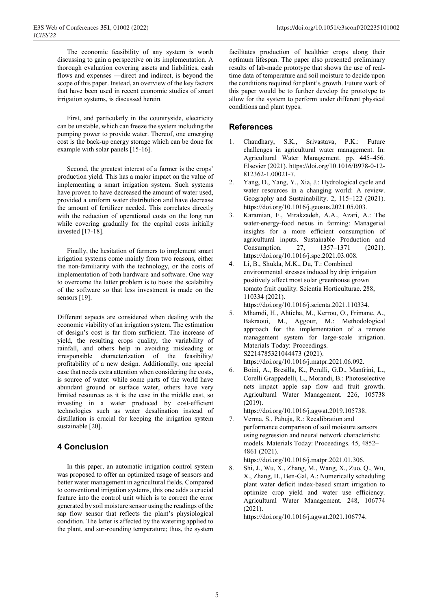The economic feasibility of any system is worth discussing to gain a perspective on its implementation. A thorough evaluation covering assets and liabilities, cash flows and expenses —direct and indirect, is beyond the scope of this paper. Instead, an overview of the key factors that have been used in recent economic studies of smart irrigation systems, is discussed herein.

First, and particularly in the countryside, electricity can be unstable, which can freeze the system including the pumping power to provide water. Thereof, one emerging cost is the back-up energy storage which can be done for example with solar panels [15-16].

Second, the greatest interest of a farmer is the crops' production yield. This has a major impact on the value of implementing a smart irrigation system. Such systems have proven to have decreased the amount of water used, provided a uniform water distribution and have decrease the amount of fertilizer needed. This correlates directly with the reduction of operational costs on the long run while covering gradually for the capital costs initially invested [17-18].

Finally, the hesitation of farmers to implement smart irrigation systems come mainly from two reasons, either the non-familiarity with the technology, or the costs of implementation of both hardware and software. One way to overcome the latter problem is to boost the scalability of the software so that less investment is made on the sensors [19].

Different aspects are considered when dealing with the economic viability of an irrigation system. The estimation of design's cost is far from sufficient. The increase of yield, the resulting crops quality, the variability of rainfall, and others help in avoiding misleading or irresponsible characterization of the feasibility/ profitability of a new design. Additionally, one special case that needs extra attention when considering the costs, is source of water: while some parts of the world have abundant ground or surface water, others have very limited resources as it is the case in the middle east, so investing in a water produced by cost-efficient technologies such as water desalination instead of distillation is crucial for keeping the irrigation system sustainable [20].

# 4 Conclusion

In this paper, an automatic irrigation control system was proposed to offer an optimized usage of sensors and better water management in agricultural fields. Compared to conventional irrigation systems, this one adds a crucial feature into the control unit which is to correct the error generated by soil moisture sensor using the readings of the sap flow sensor that reflects the plant's physiological condition. The latter is affected by the watering applied to the plant, and sur-rounding temperature; thus, the system facilitates production of healthier crops along their optimum lifespan. The paper also presented preliminary results of lab-made prototype that shows the use of realtime data of temperature and soil moisture to decide upon the conditions required for plant's growth. Future work of this paper would be to further develop the prototype to allow for the system to perform under different physical conditions and plant types.

## **References**

- 1. Chaudhary, S.K., Srivastava, P.K.: Future challenges in agricultural water management. In: Agricultural Water Management. pp. 445–456. Elsevier (2021). https://doi.org/10.1016/B978-0-12- 812362-1.00021-7.
- Yang, D., Yang, Y., Xia, J.: Hydrological cycle and water resources in a changing world: A review. Geography and Sustainability. 2, 115–122 (2021). https://doi.org/10.1016/j.geosus.2021.05.003.
- 3. Karamian, F., Mirakzadeh, A.A., Azari, A.: The water-energy-food nexus in farming: Managerial insights for a more efficient consumption of agricultural inputs. Sustainable Production and Consumption. 27, 1357–1371 (2021). https://doi.org/10.1016/j.spc.2021.03.008.
- 4. Li, B., Shukla, M.K., Du, T.: Combined environmental stresses induced by drip irrigation positively affect most solar greenhouse grown tomato fruit quality. Scientia Horticulturae. 288, 110334 (2021).
	- https://doi.org/10.1016/j.scienta.2021.110334.
- 5. Mhamdi, H., Ahticha, M., Kerrou, O., Frimane, A., Bakraoui, M., Aggour, M.: Methodological approach for the implementation of a remote management system for large-scale irrigation. Materials-Today: Proceedings. S2214785321044473 (2021). https://doi.org/10.1016/j.matpr.2021.06.092.
- 6. Boini, A., Bresilla, K., Perulli, G.D., Manfrini, L., Corelli Grappadelli, L., Morandi, B.: Photoselective nets impact apple sap flow and fruit growth. Agricultural Water Management. 226, 105738 (2019).

https://doi.org/10.1016/j.agwat.2019.105738.

7. Verma, S., Pahuja, R.: Recalibration and performance comparison of soil moisture sensors using regression and neural network characteristic models. Materials Today: Proceedings. 45, 4852– 4861 (2021).

https://doi.org/10.1016/j.matpr.2021.01.306.

8. Shi, J., Wu, X., Zhang, M., Wang, X., Zuo, Q., Wu, X., Zhang, H., Ben-Gal, A.: Numerically scheduling plant water deficit index-based smart irrigation to optimize crop yield and water use efficiency. Agricultural Water Management. 248, 106774 (2021).

https://doi.org/10.1016/j.agwat.2021.106774.